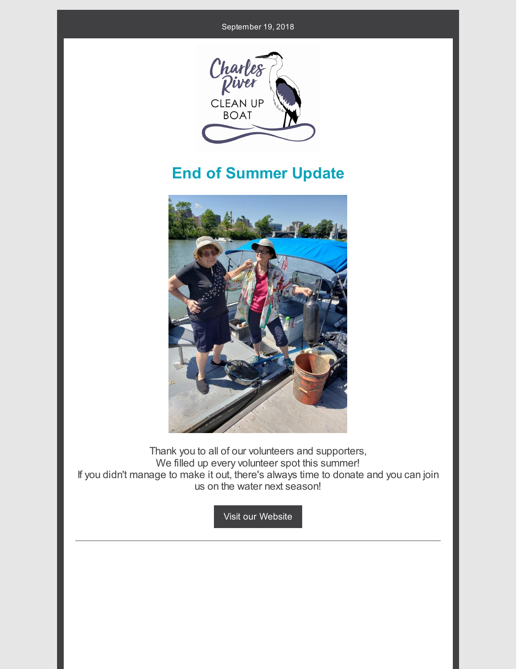

## **End of Summer Update**



Thank you to all of our volunteers and supporters, We filled up every volunteer spot this summer! If you didn't manage to make it out, there's always time to donate and you can join us on the water next season!

Visit our [Website](https://www.cleanupboat.org/donation)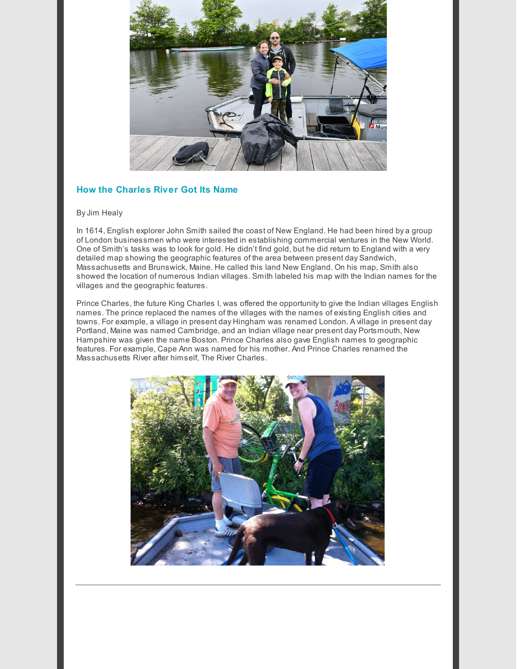

## **How the Charles River Got Its Name**

## ByJim Healy

In 1614, English explorer John Smith sailed the coast of New England. He had been hired by a group of London businessmen who were interested in establishing commercial ventures in the New World. One of Smith's tasks was to look for gold. He didn't find gold, but he did return to England with a very detailed map showing the geographic features of the area between present day Sandwich, Massachusetts and Brunswick, Maine. He called this land New England. On his map, Smith also showed the location of numerous Indian villages. Smith labeled his map with the Indian names for the villages and the geographic features.

Prince Charles, the future King Charles I, was offered the opportunity to give the Indian villages English names. The prince replaced the names of the villages with the names of existing English cities and towns. For example, a village in present day Hingham was renamed London. A village in present day Portland, Maine was named Cambridge, and an Indian village near present day Portsmouth, New Hampshire was given the name Boston. Prince Charles also gave English names to geographic features. For example, Cape Ann was named for his mother. And Prince Charles renamed the Massachusetts River after himself, The River Charles.

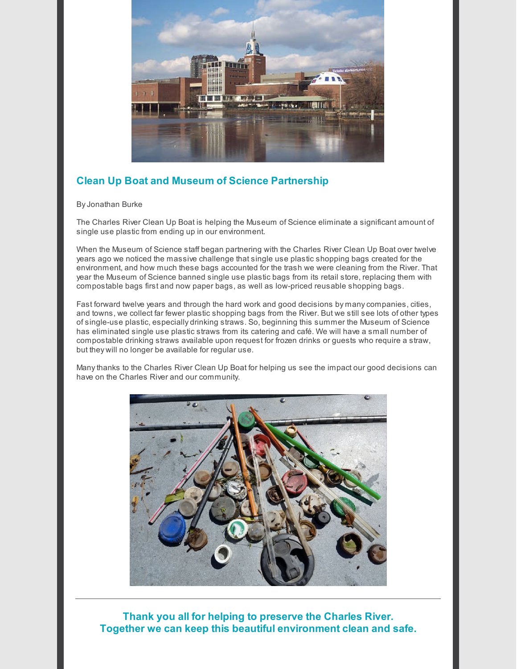

## **Clean Up Boat and Museum of Science Partnership**

ByJonathan Burke

The Charles River Clean Up Boat is helping the Museum of Science eliminate a significant amount of single use plastic from ending up in our environment.

When the Museum of Science staff began partnering with the Charles River Clean Up Boat over twelve years ago we noticed the massive challenge that single use plastic shopping bags created for the environment, and how much these bags accounted for the trash we were cleaning from the River. That year the Museum of Science banned single use plastic bags from its retail store, replacing them with compostable bags first and now paper bags, as well as low-priced reusable shopping bags.

Fast forward twelve years and through the hard work and good decisions by manycompanies, cities, and towns, we collect far fewer plastic shopping bags from the River. But we still see lots of other types of single-use plastic, especially drinking straws. So, beginning this summer the Museum of Science has eliminated single use plastic straws from its catering and café. We will have a small number of compostable drinking straws available upon request for frozen drinks or guests who require a straw, but they will no longer be available for regular use.

Manythanks to the Charles River Clean Up Boat for helping us see the impact our good decisions can have on the Charles River and our community.



**Thank you all for helping to preserve the Charles River. Together we can keep this beautiful environment clean and safe.**